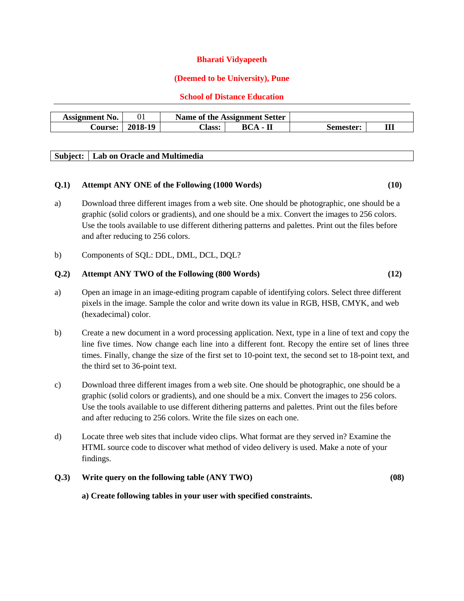#### **Bharati Vidyapeeth**

#### **(Deemed to be University), Pune**

#### **School of Distance Education**

| <b>Assignment No.</b> |         |        | Name of the Assignment Setter |           |   |
|-----------------------|---------|--------|-------------------------------|-----------|---|
| <b>Course:</b>        | 2018-19 | `lass: | $BCA -$                       | Semester: | Ш |

#### **Subject: Lab on Oracle and Multimedia**

## **Q.1) Attempt ANY ONE of the Following (1000 Words) (10)**

- a) Download three different images from a web site. One should be photographic, one should be a graphic (solid colors or gradients), and one should be a mix. Convert the images to 256 colors. Use the tools available to use different dithering patterns and palettes. Print out the files before and after reducing to 256 colors.
- b) Components of SQL: DDL, DML, DCL, DQL?

#### **Q.2) Attempt ANY TWO of the Following (800 Words) (12)**

- a) Open an image in an image-editing program capable of identifying colors. Select three different pixels in the image. Sample the color and write down its value in RGB, HSB, CMYK, and web (hexadecimal) color.
- b) Create a new document in a word processing application. Next, type in a line of text and copy the line five times. Now change each line into a different font. Recopy the entire set of lines three times. Finally, change the size of the first set to 10-point text, the second set to 18-point text, and the third set to 36-point text.
- c) Download three different images from a web site. One should be photographic, one should be a graphic (solid colors or gradients), and one should be a mix. Convert the images to 256 colors. Use the tools available to use different dithering patterns and palettes. Print out the files before and after reducing to 256 colors. Write the file sizes on each one.
- d) Locate three web sites that include video clips. What format are they served in? Examine the HTML source code to discover what method of video delivery is used. Make a note of your findings.

### **Q.3) Write query on the following table (ANY TWO) (08)**

**a) Create following tables in your user with specified constraints.**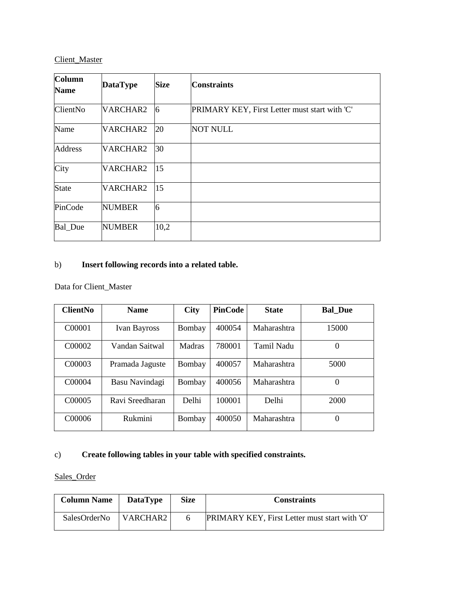# Client Master

| <b>Column</b><br><b>Name</b> | <b>DataType</b> | <b>Size</b>    | <b>Constraints</b>                            |
|------------------------------|-----------------|----------------|-----------------------------------------------|
| <b>ClientNo</b>              | VARCHAR2        | $\overline{6}$ | PRIMARY KEY, First Letter must start with 'C' |
| Name                         | VARCHAR2        | 20             | <b>NOT NULL</b>                               |
| <b>Address</b>               | VARCHAR2        | 30             |                                               |
| City                         | VARCHAR2        | 15             |                                               |
| <b>State</b>                 | VARCHAR2        | 15             |                                               |
| PinCode                      | <b>NUMBER</b>   | 6              |                                               |
| <b>Bal</b> Due               | <b>NUMBER</b>   | 10,2           |                                               |

# b) **Insert following records into a related table.**

Data for Client\_Master

| <b>ClientNo</b>     | <b>Name</b>         | <b>City</b> | <b>PinCode</b> | <b>State</b> | <b>Bal Due</b> |
|---------------------|---------------------|-------------|----------------|--------------|----------------|
| C00001              | <b>Ivan Bayross</b> | Bombay      | 400054         | Maharashtra  | 15000          |
| C <sub>00</sub> 002 | Vandan Saitwal      | Madras      | 780001         | Tamil Nadu   | 0              |
| C <sub>00003</sub>  | Pramada Jaguste     | Bombay      | 400057         | Maharashtra  | 5000           |
| C00004              | Basu Navindagi      | Bombay      | 400056         | Maharashtra  | 0              |
| C <sub>00</sub> 005 | Ravi Sreedharan     | Delhi       | 100001         | Delhi        | 2000           |
| C00006              | Rukmini             | Bombay      | 400050         | Maharashtra  | $\theta$       |

## c) **Create following tables in your table with specified constraints.**

# Sales\_Order

| <b>Column Name</b> | <b>DataType</b>                                            | <b>Size</b> | <b>Constraints</b>                                   |
|--------------------|------------------------------------------------------------|-------------|------------------------------------------------------|
| SalesOrderNo       | $\overline{\phantom{a}}$ VARCHAR2 $\overline{\phantom{a}}$ |             | <b>PRIMARY KEY, First Letter must start with 'O'</b> |